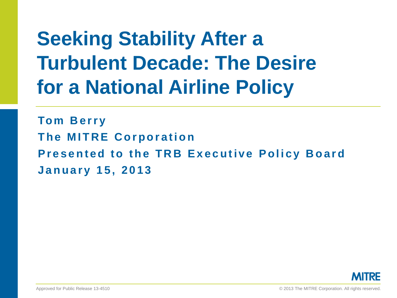# **Seeking Stability After a Turbulent Decade: The Desire for a National Airline Policy**

**Tom Berry The MITRE Corporation Presented to the TRB Executive Policy Board January 15, 2013**

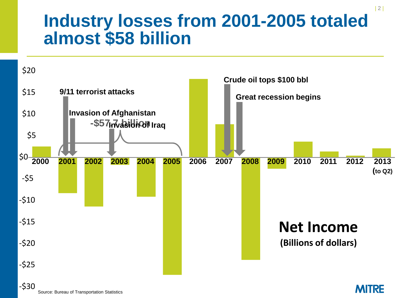## **Industry losses from 2001-2005 totaled almost \$58 billion**

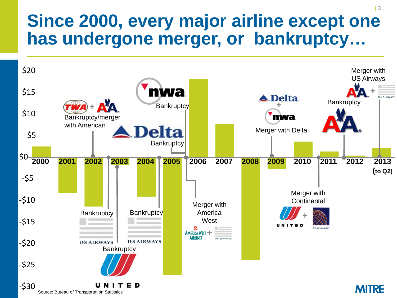## **Since 2000, every major airline except one has undergone merger, or bankruptcy…**



| 3 |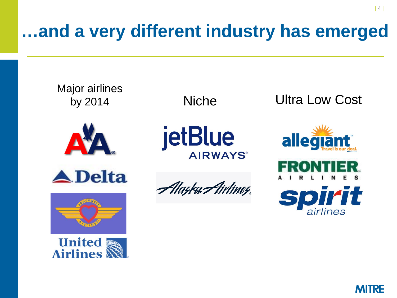# **…and a very different industry has emerged**





| 4 |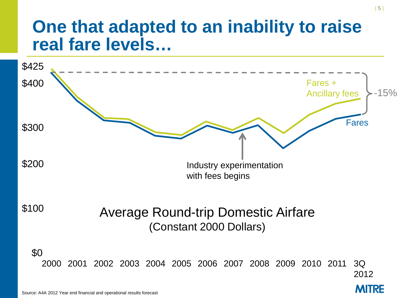## **One that adapted to an inability to raise real fare levels…**

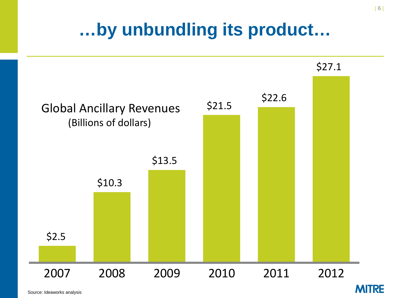# **…by unbundling its product…**



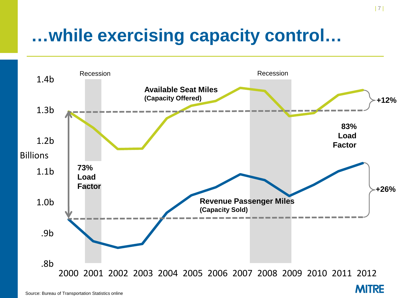# **…while exercising capacity control…**



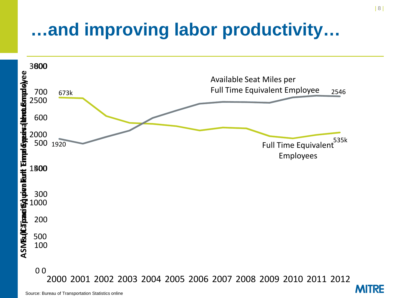# **…and improving labor productivity…**



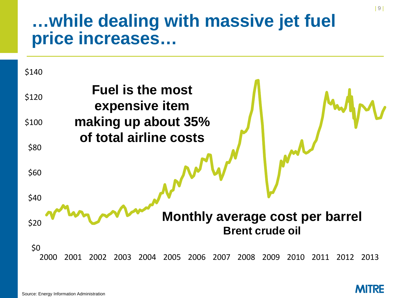### **…while dealing with massive jet fuel price increases…**



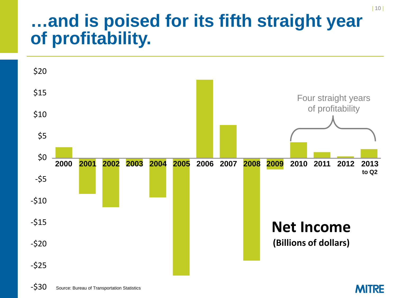## **…and is poised for its fifth straight year of profitability.**



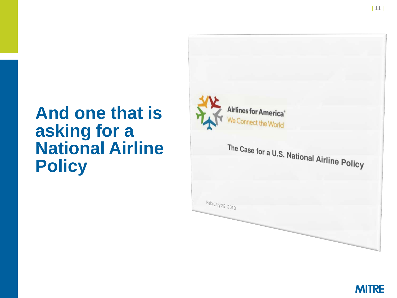## **And one that is asking for a National Airline Policy**



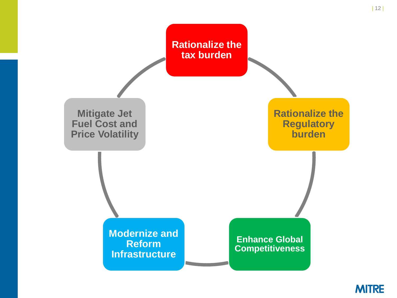

| 12 |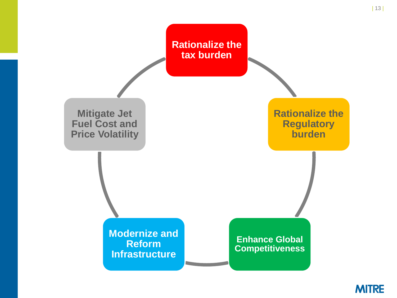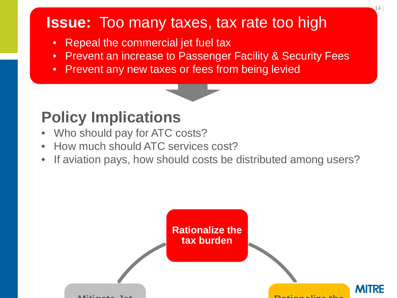#### **Issue:** Too many taxes, tax rate too high

- Repeal the commercial jet fuel tax
- Prevent an increase to Passenger Facility & Security Fees
- Prevent any new taxes or fees from being levied

#### **Policy Implications**

- Who should pay for ATC costs?
- How much should ATC services cost?
- If aviation pays, how should costs be distributed among users?

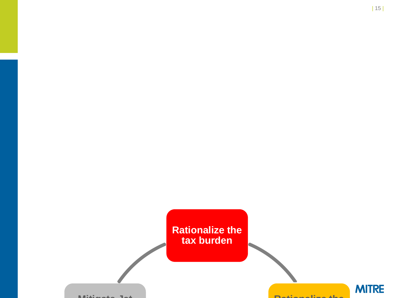

| 15 |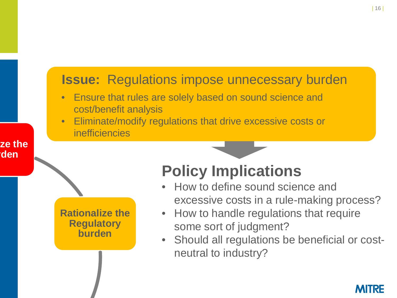#### **Issue:** Regulations impose unnecessary burden

- Ensure that rules are solely based on sound science and cost/benefit analysis
- Eliminate/modify regulations that drive excessive costs or inefficiencies

**Rationalize the Regulatory burden**

#### **Policy Implications**

- How to define sound science and excessive costs in a rule-making process?
- How to handle regulations that require some sort of judgment?
- Should all regulations be beneficial or costneutral to industry?



**ze the rden**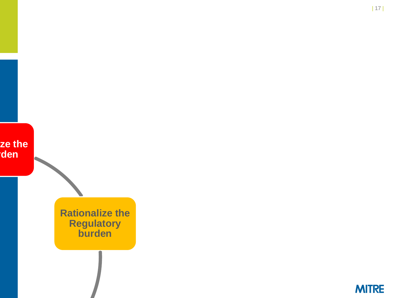

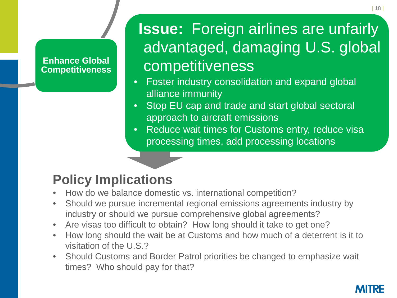#### **Enhance Global Competitiveness**

## **Issue: Foreign airlines are unfairly** advantaged, damaging U.S. global competitiveness

- Foster industry consolidation and expand global alliance immunity
- Stop EU cap and trade and start global sectoral approach to aircraft emissions
- Reduce wait times for Customs entry, reduce visa processing times, add processing locations

#### **Policy Implications**

- How do we balance domestic vs. international competition?
- Should we pursue incremental regional emissions agreements industry by industry or should we pursue comprehensive global agreements?
- Are visas too difficult to obtain? How long should it take to get one?
- How long should the wait be at Customs and how much of a deterrent is it to visitation of the U.S.?
- Should Customs and Border Patrol priorities be changed to emphasize wait times? Who should pay for that?

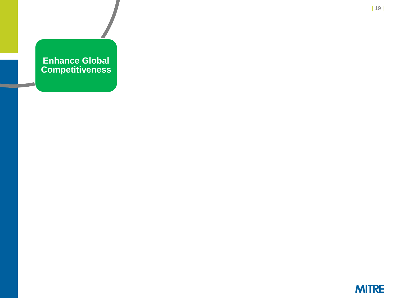#### **Enhance Global Competitiveness**

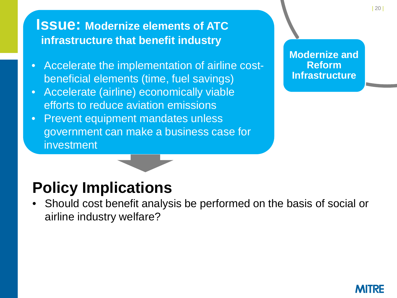#### **Issue: Modernize elements of ATC infrastructure that benefit industry**

- Accelerate the implementation of airline costbeneficial elements (time, fuel savings)
- Accelerate (airline) economically viable efforts to reduce aviation emissions
- Prevent equipment mandates unless government can make a business case for investment

**Modernize and Reform Infrastructure**

#### **Policy Implications**

• Should cost benefit analysis be performed on the basis of social or airline industry welfare?

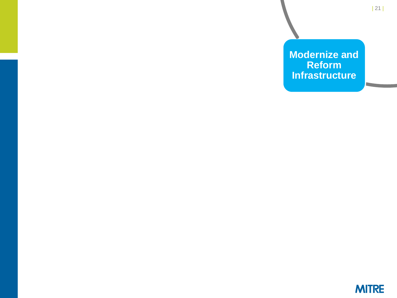**Modernize and Reform Infrastructure**

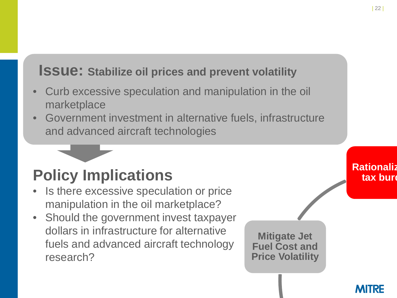#### **Issue: Stabilize oil prices and prevent volatility**

- Curb excessive speculation and manipulation in the oil marketplace
- Government investment in alternative fuels, infrastructure and advanced aircraft technologies

### **Policy Implications**

- Is there excessive speculation or price manipulation in the oil marketplace?
- Should the government invest taxpayer dollars in infrastructure for alternative fuels and advanced aircraft technology research?



#### **Rationaliz**  tax burd

MURE